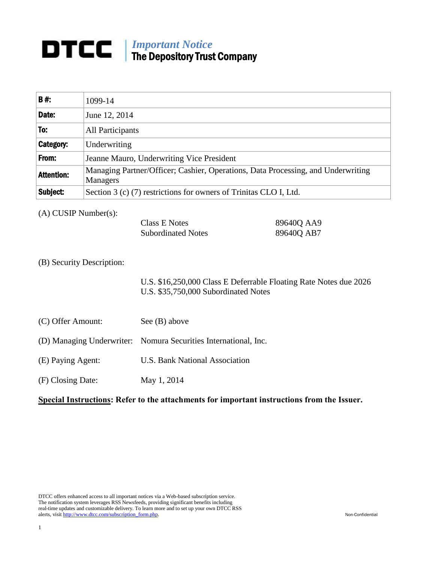## *Important Notice* The Depository Trust Company

| <b>B#:</b>        | 1099-14                                                                                      |
|-------------------|----------------------------------------------------------------------------------------------|
| Date:             | June 12, 2014                                                                                |
| To:               | All Participants                                                                             |
| <b>Category:</b>  | Underwriting                                                                                 |
| From:             | Jeanne Mauro, Underwriting Vice President                                                    |
| <b>Attention:</b> | Managing Partner/Officer; Cashier, Operations, Data Processing, and Underwriting<br>Managers |
| Subject:          | Section 3 (c) (7) restrictions for owners of Trinitas CLO I, Ltd.                            |

(A) CUSIP Number(s):

| Class E Notes             | 89640Q AA9 |
|---------------------------|------------|
| <b>Subordinated Notes</b> | 89640Q AB7 |

## (B) Security Description:

U.S. \$16,250,000 Class E Deferrable Floating Rate Notes due 2026 U.S. \$35,750,000 Subordinated Notes

(C) Offer Amount: See (B) above

## (D) Managing Underwriter: Nomura Securities International, Inc.

- (E) Paying Agent: U.S. Bank National Association
- (F) Closing Date: May 1, 2014

## **Special Instructions: Refer to the attachments for important instructions from the Issuer.**

DTCC offers enhanced access to all important notices via a Web-based subscription service. The notification system leverages RSS Newsfeeds, providing significant benefits including real-time updates and customizable delivery. To learn more and to set up your own DTCC RSS alerts, visit [http://www.dtcc.com/subscription\\_form.php.](http://www.dtcc.com/subscription_form.php) Non-Confidential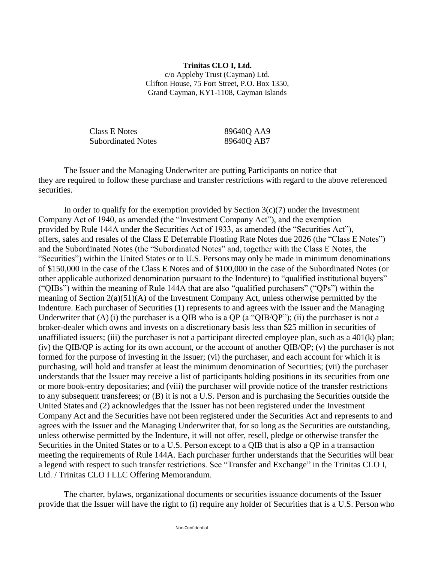**Trinitas CLO I, Ltd.** c/o Appleby Trust (Cayman) Ltd. Clifton House, 75 Fort Street, P.O. Box 1350, Grand Cayman, KY1-1108, Cayman Islands

Class E Notes 89640Q AA9 Subordinated Notes 89640Q AB7

The Issuer and the Managing Underwriter are putting Participants on notice that they are required to follow these purchase and transfer restrictions with regard to the above referenced securities.

In order to qualify for the exemption provided by Section  $3(c)(7)$  under the Investment Company Act of 1940, as amended (the "Investment Company Act"), and the exemption provided by Rule 144A under the Securities Act of 1933, as amended (the "Securities Act"), offers, sales and resales of the Class E Deferrable Floating Rate Notes due 2026 (the "Class E Notes") and the Subordinated Notes (the "Subordinated Notes" and, together with the Class E Notes, the "Securities") within the United States or to U.S. Persons may only be made in minimum denominations of \$150,000 in the case of the Class E Notes and of \$100,000 in the case of the Subordinated Notes (or other applicable authorized denomination pursuant to the Indenture) to "qualified institutional buyers" ("QIBs") within the meaning of Rule 144A that are also "qualified purchasers" ("QPs") within the meaning of Section 2(a)(51)(A) of the Investment Company Act, unless otherwise permitted by the Indenture. Each purchaser of Securities (1) represents to and agrees with the Issuer and the Managing Underwriter that  $(A)$  (i) the purchaser is a QIB who is a QP (a "QIB/QP"); (ii) the purchaser is not a broker-dealer which owns and invests on a discretionary basis less than \$25 million in securities of unaffiliated issuers; (iii) the purchaser is not a participant directed employee plan, such as a  $401(k)$  plan; (iv) the QIB/QP is acting for its own account, or the account of another QIB/QP; (v) the purchaser is not formed for the purpose of investing in the Issuer; (vi) the purchaser, and each account for which it is purchasing, will hold and transfer at least the minimum denomination of Securities; (vii) the purchaser understands that the Issuer may receive a list of participants holding positions in its securities from one or more book-entry depositaries; and (viii) the purchaser will provide notice of the transfer restrictions to any subsequent transferees; or (B) it is not a U.S. Person and is purchasing the Securities outside the United States and (2) acknowledges that the Issuer has not been registered under the Investment Company Act and the Securities have not been registered under the Securities Act and represents to and agrees with the Issuer and the Managing Underwriter that, for so long as the Securities are outstanding, unless otherwise permitted by the Indenture, it will not offer, resell, pledge or otherwise transfer the Securities in the United States or to a U.S. Person except to a QIB that is also a QP in a transaction meeting the requirements of Rule 144A. Each purchaser further understands that the Securities will bear a legend with respect to such transfer restrictions. See "Transfer and Exchange" in the Trinitas CLO I, Ltd. / Trinitas CLO I LLC Offering Memorandum.

The charter, bylaws, organizational documents or securities issuance documents of the Issuer provide that the Issuer will have the right to (i) require any holder of Securities that is a U.S. Person who